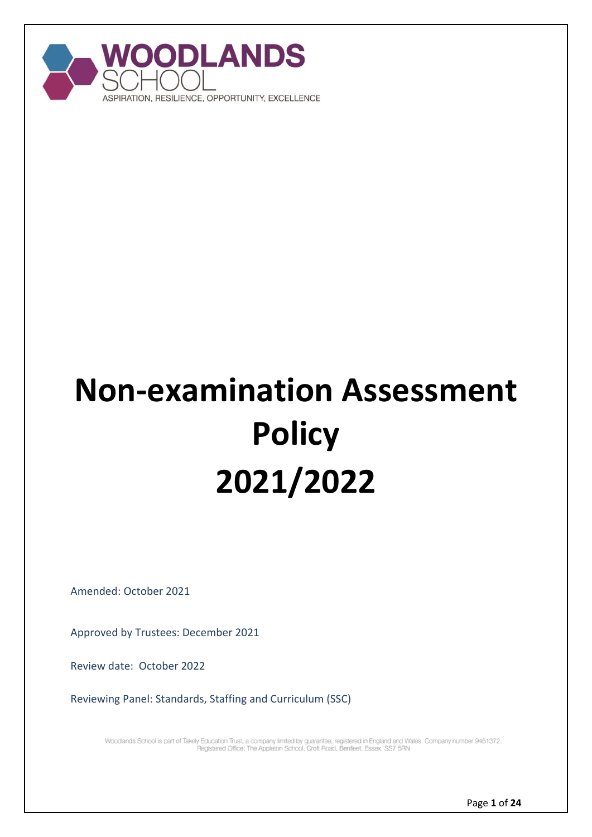

# **Non-examination Assessment Policy 2021/2022**

Amended: October 2021

Approved by Trustees: December 2021

Review date: October 2022

Reviewing Panel: Standards, Staffing and Curriculum (SSC)

Woodlands School is part of Takely Education Trust, a company limited by guarantee, registered in England and Wales. Company number 9451372.<br>Registered Office: The Appleton School, Croft Road, Benfleet, Essex, SS7 5RN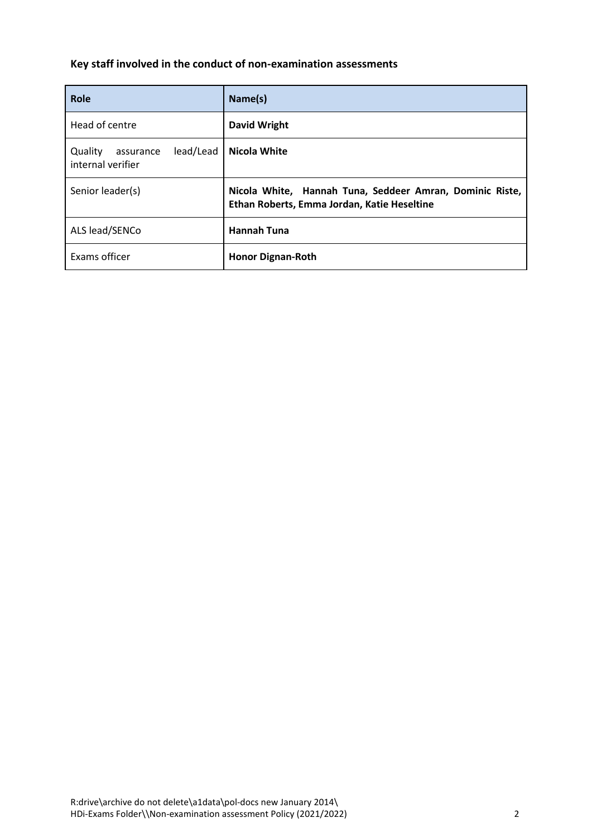# **Key staff involved in the conduct of non-examination assessments**

| Role                                                   | Name(s)                                                                                                 |
|--------------------------------------------------------|---------------------------------------------------------------------------------------------------------|
| Head of centre                                         | <b>David Wright</b>                                                                                     |
| lead/Lead<br>Quality<br>assurance<br>internal verifier | <b>Nicola White</b>                                                                                     |
| Senior leader(s)                                       | Nicola White, Hannah Tuna, Seddeer Amran, Dominic Riste,<br>Ethan Roberts, Emma Jordan, Katie Heseltine |
| ALS lead/SENCo                                         | <b>Hannah Tuna</b>                                                                                      |
| Exams officer                                          | <b>Honor Dignan-Roth</b>                                                                                |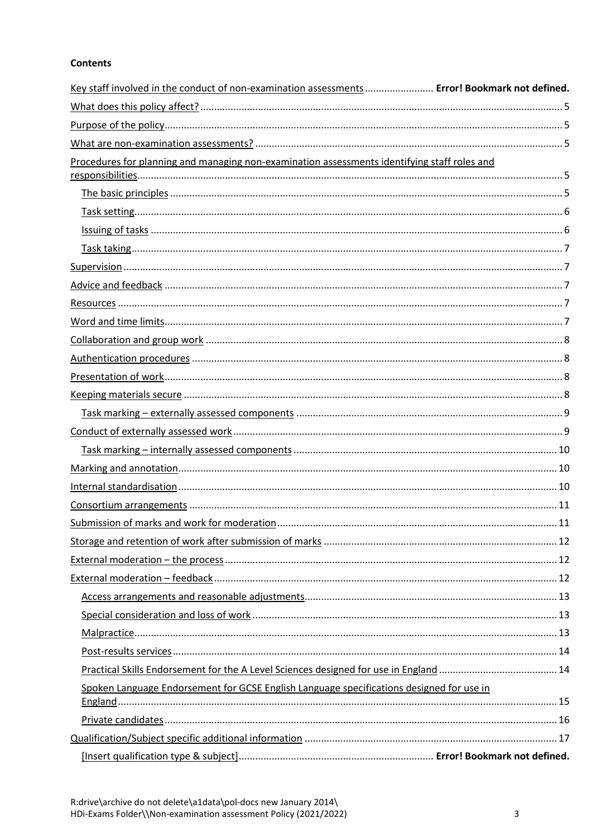# **Contents**

| Key staff involved in the conduct of non-examination assessments  Error! Bookmark not defined. |  |
|------------------------------------------------------------------------------------------------|--|
|                                                                                                |  |
|                                                                                                |  |
|                                                                                                |  |
| Procedures for planning and managing non-examination assessments identifying staff roles and   |  |
|                                                                                                |  |
|                                                                                                |  |
|                                                                                                |  |
|                                                                                                |  |
|                                                                                                |  |
|                                                                                                |  |
|                                                                                                |  |
|                                                                                                |  |
|                                                                                                |  |
|                                                                                                |  |
|                                                                                                |  |
|                                                                                                |  |
|                                                                                                |  |
|                                                                                                |  |
|                                                                                                |  |
|                                                                                                |  |
|                                                                                                |  |
|                                                                                                |  |
|                                                                                                |  |
|                                                                                                |  |
|                                                                                                |  |
|                                                                                                |  |
|                                                                                                |  |
|                                                                                                |  |
|                                                                                                |  |
|                                                                                                |  |
|                                                                                                |  |
|                                                                                                |  |
| Spoken Language Endorsement for GCSE English Language specifications designed for use in       |  |
|                                                                                                |  |
|                                                                                                |  |
|                                                                                                |  |
|                                                                                                |  |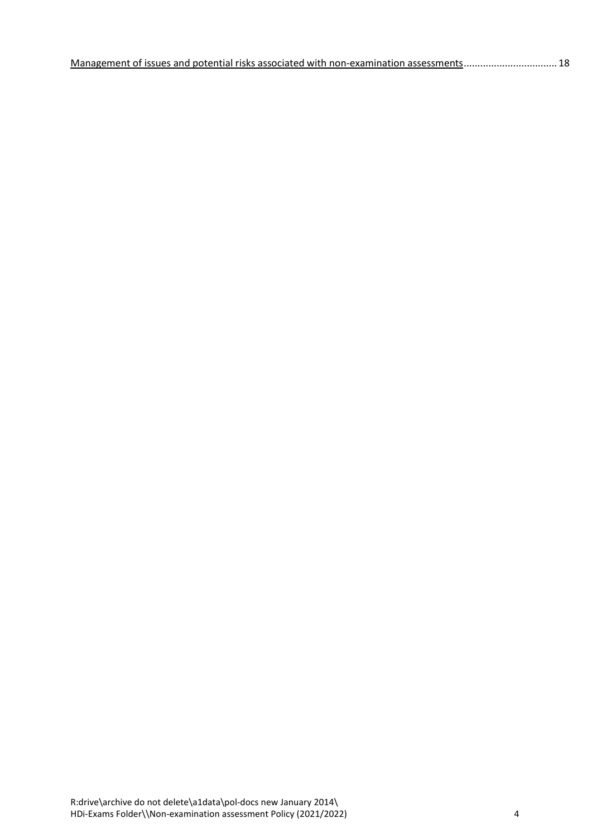| Management of issues and potential risks associated with non-examination assessments 18 |
|-----------------------------------------------------------------------------------------|
|-----------------------------------------------------------------------------------------|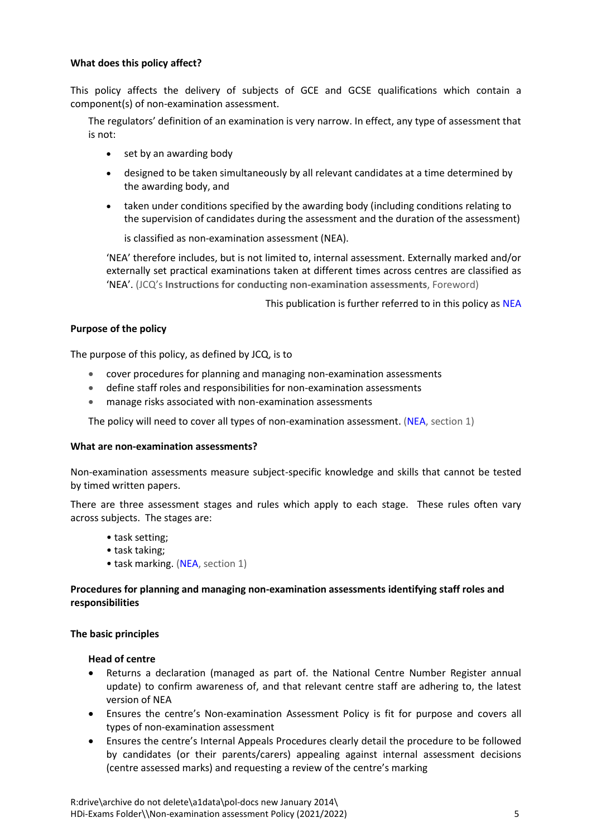# <span id="page-4-0"></span>**What does this policy affect?**

This policy affects the delivery of subjects of GCE and GCSE qualifications which contain a component(s) of non-examination assessment.

The regulators' definition of an examination is very narrow. In effect, any type of assessment that is not:

- set by an awarding body
- designed to be taken simultaneously by all relevant candidates at a time determined by the awarding body, and
- taken under conditions specified by the awarding body (including conditions relating to the supervision of candidates during the assessment and the duration of the assessment)

is classified as non-examination assessment (NEA).

'NEA' therefore includes, but is not limited to, internal assessment. Externally marked and/or externally set practical examinations taken at different times across centres are classified as 'NEA'. (JCQ's **Instructions for conducting non-examination assessments**, Foreword)

This publication is further referred to in this policy a[s NEA](http://www.jcq.org.uk/exams-office/non-examination-assessments)

# <span id="page-4-1"></span>**Purpose of the policy**

The purpose of this policy, as defined by JCQ, is to

- cover procedures for planning and managing non-examination assessments
- define staff roles and responsibilities for non-examination assessments
- manage risks associated with non-examination assessments

The policy will need to cover all types of non-examination assessment. [\(NEA,](http://www.jcq.org.uk/exams-office/non-examination-assessments) section 1)

# <span id="page-4-2"></span>**What are non-examination assessments?**

Non-examination assessments measure subject-specific knowledge and skills that cannot be tested by timed written papers.

There are three assessment stages and rules which apply to each stage. These rules often vary across subjects. The stages are:

- task setting;
- task taking;
- task marking. [\(NEA,](http://www.jcq.org.uk/exams-office/non-examination-assessments) section 1)

# <span id="page-4-3"></span>**Procedures for planning and managing non-examination assessments identifying staff roles and responsibilities**

# <span id="page-4-4"></span>**The basic principles**

# **Head of centre**

- Returns a declaration (managed as part of. the National Centre Number Register annual update) to confirm awareness of, and that relevant centre staff are adhering to, the latest version o[f NEA](http://www.jcq.org.uk/exams-office/non-examination-assessments)
- Ensures the centre's Non-examination Assessment Policy is fit for purpose and covers all types of non-examination assessment
- Ensures the centre's Internal Appeals Procedures clearly detail the procedure to be followed by candidates (or their parents/carers) appealing against internal assessment decisions (centre assessed marks) and requesting a review of the centre's marking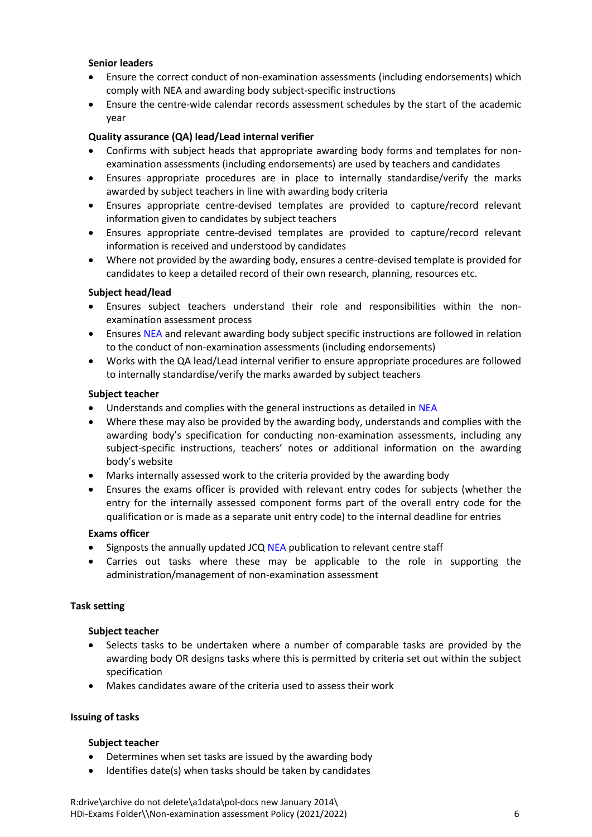# **Senior leaders**

- Ensure the correct conduct of non-examination assessments (including endorsements) which comply with [NEA](http://www.jcq.org.uk/exams-office/non-examination-assessments) and awarding body subject-specific instructions
- Ensure the centre-wide calendar records assessment schedules by the start of the academic year

# **Quality assurance (QA) lead/Lead internal verifier**

- Confirms with subject heads that appropriate awarding body forms and templates for nonexamination assessments (including endorsements) are used by teachers and candidates
- Ensures appropriate procedures are in place to internally standardise/verify the marks awarded by subject teachers in line with awarding body criteria
- Ensures appropriate centre-devised templates are provided to capture/record relevant information given to candidates by subject teachers
- Ensures appropriate centre-devised templates are provided to capture/record relevant information is received and understood by candidates
- Where not provided by the awarding body, ensures a centre-devised template is provided for candidates to keep a detailed record of their own research, planning, resources etc.

# **Subject head/lead**

- Ensures subject teachers understand their role and responsibilities within the nonexamination assessment process
- Ensures [NEA](http://www.jcq.org.uk/exams-office/non-examination-assessments) and relevant awarding body subject specific instructions are followed in relation to the conduct of non-examination assessments (including endorsements)
- Works with the QA lead/Lead internal verifier to ensure appropriate procedures are followed to internally standardise/verify the marks awarded by subject teachers

# **Subject teacher**

- Understands and complies with the general instructions as detailed in [NEA](http://www.jcq.org.uk/exams-office/non-examination-assessments)
- Where these may also be provided by the awarding body, understands and complies with the awarding body's specification for conducting non-examination assessments, including any subject-specific instructions, teachers' notes or additional information on the awarding body's website
- Marks internally assessed work to the criteria provided by the awarding body
- Ensures the exams officer is provided with relevant entry codes for subjects (whether the entry for the internally assessed component forms part of the overall entry code for the qualification or is made as a separate unit entry code) to the internal deadline for entries

# **Exams officer**

- Signposts the annually updated JCQ [NEA](http://www.jcq.org.uk/exams-office/non-examination-assessments) publication to relevant centre staff
- Carries out tasks where these may be applicable to the role in supporting the administration/management of non-examination assessment

# <span id="page-5-0"></span>**Task setting**

# **Subject teacher**

- Selects tasks to be undertaken where a number of comparable tasks are provided by the awarding body OR designs tasks where this is permitted by criteria set out within the subject specification
- Makes candidates aware of the criteria used to assess their work

# <span id="page-5-1"></span>**Issuing of tasks**

- Determines when set tasks are issued by the awarding body
- Identifies date(s) when tasks should be taken by candidates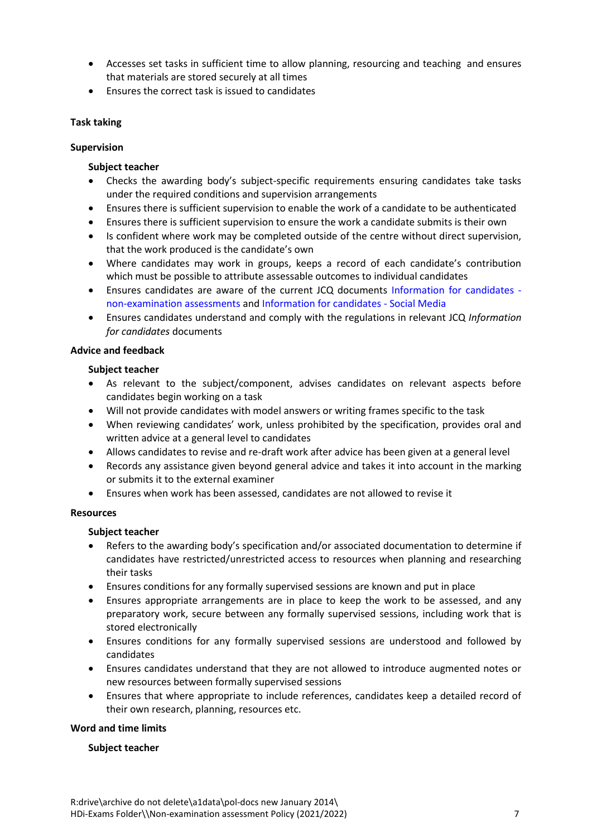- Accesses set tasks in sufficient time to allow planning, resourcing and teaching and ensures that materials are stored securely at all times
- Ensures the correct task is issued to candidates

# <span id="page-6-0"></span>**Task taking**

# <span id="page-6-1"></span>**Supervision**

# **Subject teacher**

- Checks the awarding body's subject-specific requirements ensuring candidates take tasks under the required conditions and supervision arrangements
- Ensures there is sufficient supervision to enable the work of a candidate to be authenticated
- Ensures there is sufficient supervision to ensure the work a candidate submits is their own
- Is confident where work may be completed outside of the centre without direct supervision, that the work produced is the candidate's own
- Where candidates may work in groups, keeps a record of each candidate's contribution which must be possible to attribute assessable outcomes to individual candidates
- Ensures candidates are aware of the current JCQ documents [Information for candidates](http://www.jcq.org.uk/exams-office/information-for-candidates-documents)  [non-examination assessments](http://www.jcq.org.uk/exams-office/information-for-candidates-documents) an[d Information for candidates -](http://www.jcq.org.uk/exams-office/information-for-candidates-documents) Social Media
- Ensures candidates understand and comply with the regulations in relevant JCQ *Information for candidates* documents

# <span id="page-6-2"></span>**Advice and feedback**

# **Subject teacher**

- As relevant to the subject/component, advises candidates on relevant aspects before candidates begin working on a task
- Will not provide candidates with model answers or writing frames specific to the task
- When reviewing candidates' work, unless prohibited by the specification, provides oral and written advice at a general level to candidates
- Allows candidates to revise and re-draft work after advice has been given at a general level
- Records any assistance given beyond general advice and takes it into account in the marking or submits it to the external examiner
- Ensures when work has been assessed, candidates are not allowed to revise it

# <span id="page-6-3"></span>**Resources**

# **Subject teacher**

- Refers to the awarding body's specification and/or associated documentation to determine if candidates have restricted/unrestricted access to resources when planning and researching their tasks
- Ensures conditions for any formally supervised sessions are known and put in place
- Ensures appropriate arrangements are in place to keep the work to be assessed, and any preparatory work, secure between any formally supervised sessions, including work that is stored electronically
- Ensures conditions for any formally supervised sessions are understood and followed by candidates
- Ensures candidates understand that they are not allowed to introduce augmented notes or new resources between formally supervised sessions
- Ensures that where appropriate to include references, candidates keep a detailed record of their own research, planning, resources etc.

# <span id="page-6-4"></span>**Word and time limits**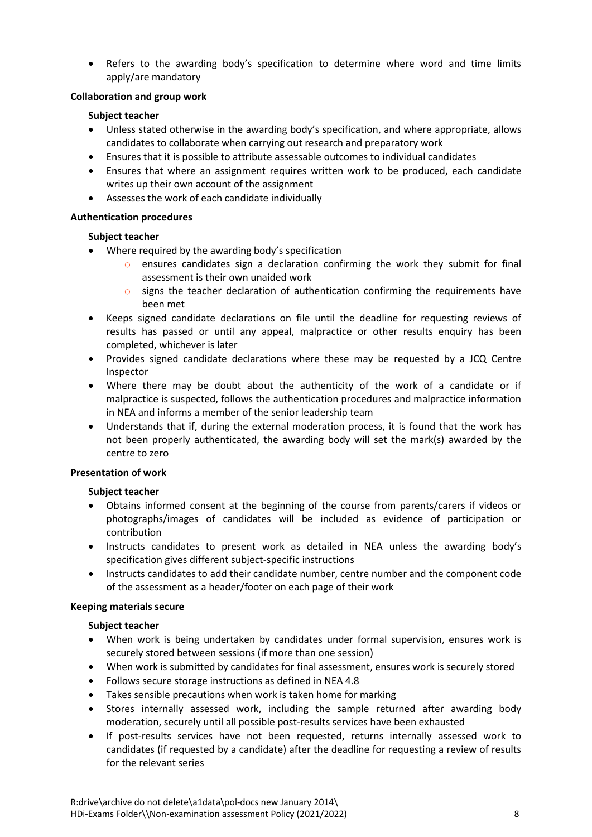Refers to the awarding body's specification to determine where word and time limits apply/are mandatory

# <span id="page-7-0"></span>**Collaboration and group work**

# **Subject teacher**

- Unless stated otherwise in the awarding body's specification, and where appropriate, allows candidates to collaborate when carrying out research and preparatory work
- Ensures that it is possible to attribute assessable outcomes to individual candidates
- Ensures that where an assignment requires written work to be produced, each candidate writes up their own account of the assignment
- Assesses the work of each candidate individually

# <span id="page-7-1"></span>**Authentication procedures**

# **Subject teacher**

- Where required by the awarding body's specification
	- $\circ$  ensures candidates sign a declaration confirming the work they submit for final assessment is their own unaided work
	- $\circ$  signs the teacher declaration of authentication confirming the requirements have been met
- Keeps signed candidate declarations on file until the deadline for requesting reviews of results has passed or until any appeal, malpractice or other results enquiry has been completed, whichever is later
- Provides signed candidate declarations where these may be requested by a JCQ Centre Inspector
- Where there may be doubt about the authenticity of the work of a candidate or if malpractice is suspected, follows the authentication procedures and malpractice information i[n NEA](http://www.jcq.org.uk/exams-office/non-examination-assessments) and informs a member of the senior leadership team
- Understands that if, during the external moderation process, it is found that the work has not been properly authenticated, the awarding body will set the mark(s) awarded by the centre to zero

# <span id="page-7-2"></span>**Presentation of work**

# **Subject teacher**

- Obtains informed consent at the beginning of the course from parents/carers if videos or photographs/images of candidates will be included as evidence of participation or contribution
- Instructs candidates to present work as detailed in [NEA](http://www.jcq.org.uk/exams-office/non-examination-assessments) unless the awarding body's specification gives different subject-specific instructions
- Instructs candidates to add their candidate number, centre number and the component code of the assessment as a header/footer on each page of their work

# <span id="page-7-3"></span>**Keeping materials secure**

- When work is being undertaken by candidates under formal supervision, ensures work is securely stored between sessions (if more than one session)
- When work is submitted by candidates for final assessment, ensures work is securely stored
- Follows secure storage instructions as defined in [NEA](http://www.jcq.org.uk/exams-office/non-examination-assessments) 4.8
- Takes sensible precautions when work is taken home for marking
- Stores internally assessed work, including the sample returned after awarding body moderation, securely until all possible post-results services have been exhausted
- If post-results services have not been requested, returns internally assessed work to candidates (if requested by a candidate) after the deadline for requesting a review of results for the relevant series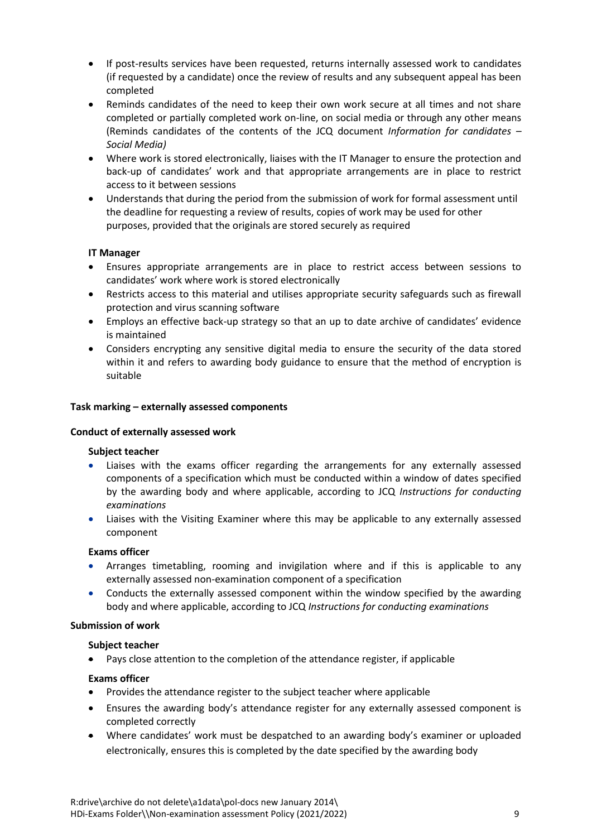- If post-results services have been requested, returns internally assessed work to candidates (if requested by a candidate) once the review of results and any subsequent appeal has been completed
- Reminds candidates of the need to keep their own work secure at all times and not share completed or partially completed work on-line, on social media or through any other means (Reminds candidates of the contents of the JCQ document *Information for candidates – Social Media)*
- Where work is stored electronically, liaises with the IT Manager to ensure the protection and back-up of candidates' work and that appropriate arrangements are in place to restrict access to it between sessions
- Understands that during the period from the submission of work for formal assessment until the deadline for requesting a review of results, copies of work may be used for other purposes, provided that the originals are stored securely as required

# **IT Manager**

- Ensures appropriate arrangements are in place to restrict access between sessions to candidates' work where work is stored electronically
- Restricts access to this material and utilises appropriate security safeguards such as firewall protection and virus scanning software
- Employs an effective back-up strategy so that an up to date archive of candidates' evidence is maintained
- Considers encrypting any sensitive digital media to ensure the security of the data stored within it and refers to awarding body guidance to ensure that the method of encryption is suitable

# <span id="page-8-0"></span>**Task marking – externally assessed components**

# <span id="page-8-1"></span>**Conduct of externally assessed work**

# **Subject teacher**

- Liaises with the exams officer regarding the arrangements for any externally assessed components of a specification which must be conducted within a window of dates specified by the awarding body and where applicable, according to JCQ *Instructions for conducting examinations*
- Liaises with the Visiting Examiner where this may be applicable to any externally assessed component

# **Exams officer**

- Arranges timetabling, rooming and invigilation where and if this is applicable to any externally assessed non-examination component of a specification
- Conducts the externally assessed component within the window specified by the awarding body and where applicable, according to JCQ *Instructions for conducting examinations*

#### **Submission of work**

#### **Subject teacher**

Pays close attention to the completion of the attendance register, if applicable

# **Exams officer**

- Provides the attendance register to the subject teacher where applicable
- Ensures the awarding body's attendance register for any externally assessed component is completed correctly
- Where candidates' work must be despatched to an awarding body's examiner or uploaded electronically, ensures this is completed by the date specified by the awarding body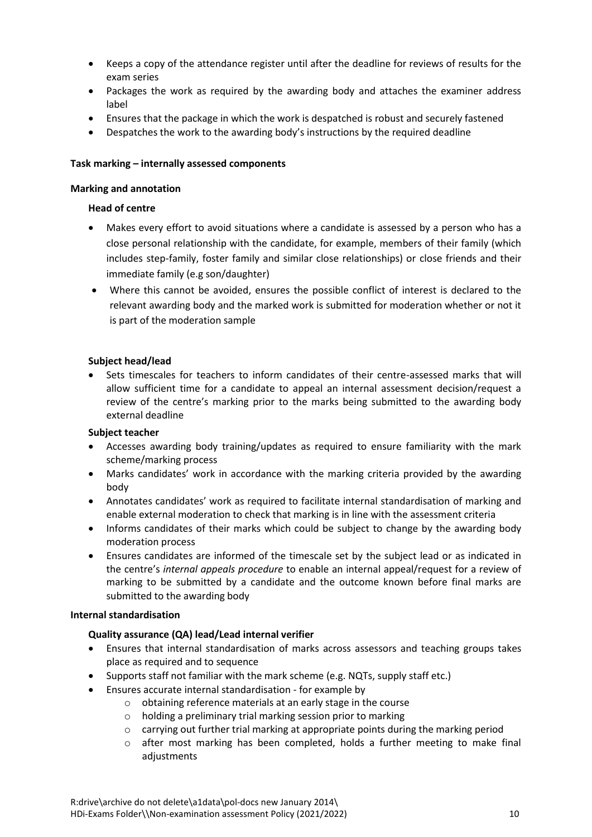- Keeps a copy of the attendance register until after the deadline for reviews of results for the exam series
- Packages the work as required by the awarding body and attaches the examiner address label
- Ensures that the package in which the work is despatched is robust and securely fastened
- Despatches the work to the awarding body's instructions by the required deadline

# <span id="page-9-0"></span>**Task marking – internally assessed components**

# <span id="page-9-1"></span>**Marking and annotation**

# **Head of centre**

- Makes every effort to avoid situations where a candidate is assessed by a person who has a close personal relationship with the candidate, for example, members of their family (which includes step-family, foster family and similar close relationships) or close friends and their immediate family (e.g son/daughter)
- Where this cannot be avoided, ensures the possible conflict of interest is declared to the relevant awarding body and the marked work is submitted for moderation whether or not it is part of the moderation sample

# **Subject head/lead**

 Sets timescales for teachers to inform candidates of their centre-assessed marks that will allow sufficient time for a candidate to appeal an internal assessment decision/request a review of the centre's marking prior to the marks being submitted to the awarding body external deadline

# **Subject teacher**

- Accesses awarding body training/updates as required to ensure familiarity with the mark scheme/marking process
- Marks candidates' work in accordance with the marking criteria provided by the awarding body
- Annotates candidates' work as required to facilitate internal standardisation of marking and enable external moderation to check that marking is in line with the assessment criteria
- Informs candidates of their marks which could be subject to change by the awarding body moderation process
- Ensures candidates are informed of the timescale set by the subject lead or as indicated in the centre's *internal appeals procedure* to enable an internal appeal/request for a review of marking to be submitted by a candidate and the outcome known before final marks are submitted to the awarding body

# <span id="page-9-2"></span>**Internal standardisation**

# **Quality assurance (QA) lead/Lead internal verifier**

- Ensures that internal standardisation of marks across assessors and teaching groups takes place as required and to sequence
- Supports staff not familiar with the mark scheme (e.g. NQTs, supply staff etc.)
- Ensures accurate internal standardisation for example by
	- o obtaining reference materials at an early stage in the course
	- o holding a preliminary trial marking session prior to marking
	- $\circ$  carrying out further trial marking at appropriate points during the marking period
	- $\circ$  after most marking has been completed, holds a further meeting to make final adiustments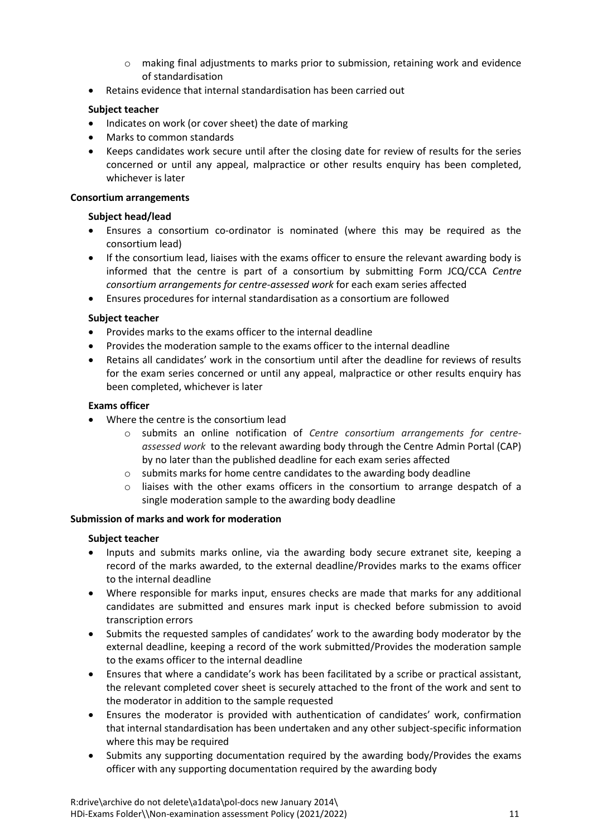- $\circ$  making final adjustments to marks prior to submission, retaining work and evidence of standardisation
- Retains evidence that internal standardisation has been carried out

# **Subject teacher**

- Indicates on work (or cover sheet) the date of marking
- Marks to common standards
- Keeps candidates work secure until after the closing date for review of results for the series concerned or until any appeal, malpractice or other results enquiry has been completed, whichever is later

# <span id="page-10-0"></span>**Consortium arrangements**

# **Subject head/lead**

- Ensures a consortium co-ordinator is nominated (where this may be required as the consortium lead)
- If the consortium lead, liaises with the exams officer to ensure the relevant awarding body is informed that the centre is part of a consortium by submitting Form JCQ/CCA *Centre consortium arrangements for centre-assessed work* for each exam series affected
- Ensures procedures for internal standardisation as a consortium are followed

# **Subject teacher**

- Provides marks to the exams officer to the internal deadline
- Provides the moderation sample to the exams officer to the internal deadline
- Retains all candidates' work in the consortium until after the deadline for reviews of results for the exam series concerned or until any appeal, malpractice or other results enquiry has been completed, whichever is later

# **Exams officer**

- Where the centre is the consortium lead
	- o submits an online notification of *Centre consortium arrangements for centreassessed work* to the relevant awarding body through the Centre Admin Portal (CAP) by no later than the published deadline for each exam series affected
	- o submits marks for home centre candidates to the awarding body deadline
	- $\circ$  liaises with the other exams officers in the consortium to arrange despatch of a single moderation sample to the awarding body deadline

# <span id="page-10-1"></span>**Submission of marks and work for moderation**

- Inputs and submits marks online, via the awarding body secure extranet site, keeping a record of the marks awarded, to the external deadline/Provides marks to the exams officer to the internal deadline
- Where responsible for marks input, ensures checks are made that marks for any additional candidates are submitted and ensures mark input is checked before submission to avoid transcription errors
- Submits the requested samples of candidates' work to the awarding body moderator by the external deadline, keeping a record of the work submitted/Provides the moderation sample to the exams officer to the internal deadline
- Ensures that where a candidate's work has been facilitated by a scribe or practical assistant, the relevant completed cover sheet is securely attached to the front of the work and sent to the moderator in addition to the sample requested
- Ensures the moderator is provided with authentication of candidates' work, confirmation that internal standardisation has been undertaken and any other subject-specific information where this may be required
- Submits any supporting documentation required by the awarding body/Provides the exams officer with any supporting documentation required by the awarding body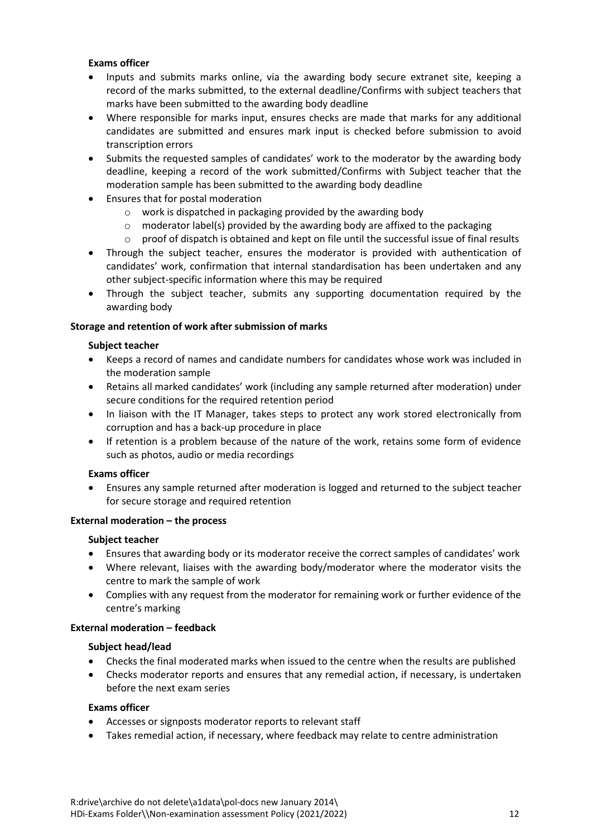# **Exams officer**

- Inputs and submits marks online, via the awarding body secure extranet site, keeping a record of the marks submitted, to the external deadline/Confirms with subject teachers that marks have been submitted to the awarding body deadline
- Where responsible for marks input, ensures checks are made that marks for any additional candidates are submitted and ensures mark input is checked before submission to avoid transcription errors
- Submits the requested samples of candidates' work to the moderator by the awarding body deadline, keeping a record of the work submitted/Confirms with Subject teacher that the moderation sample has been submitted to the awarding body deadline
- Ensures that for postal moderation
	- o work is dispatched in packaging provided by the awarding body
	- $\circ$  moderator label(s) provided by the awarding body are affixed to the packaging
	- $\circ$  proof of dispatch is obtained and kept on file until the successful issue of final results
- Through the subject teacher, ensures the moderator is provided with authentication of candidates' work, confirmation that internal standardisation has been undertaken and any other subject-specific information where this may be required
- Through the subject teacher, submits any supporting documentation required by the awarding body

# <span id="page-11-0"></span>**Storage and retention of work after submission of marks**

# **Subject teacher**

- Keeps a record of names and candidate numbers for candidates whose work was included in the moderation sample
- Retains all marked candidates' work (including any sample returned after moderation) under secure conditions for the required retention period
- In liaison with the IT Manager, takes steps to protect any work stored electronically from corruption and has a back-up procedure in place
- If retention is a problem because of the nature of the work, retains some form of evidence such as photos, audio or media recordings

# **Exams officer**

 Ensures any sample returned after moderation is logged and returned to the subject teacher for secure storage and required retention

# <span id="page-11-1"></span>**External moderation – the process**

# **Subject teacher**

- Ensures that awarding body or its moderator receive the correct samples of candidates' work
- Where relevant, liaises with the awarding body/moderator where the moderator visits the centre to mark the sample of work
- Complies with any request from the moderator for remaining work or further evidence of the centre's marking

# <span id="page-11-2"></span>**External moderation – feedback**

# **Subject head/lead**

- Checks the final moderated marks when issued to the centre when the results are published
- Checks moderator reports and ensures that any remedial action, if necessary, is undertaken before the next exam series

# **Exams officer**

- Accesses or signposts moderator reports to relevant staff
- Takes remedial action, if necessary, where feedback may relate to centre administration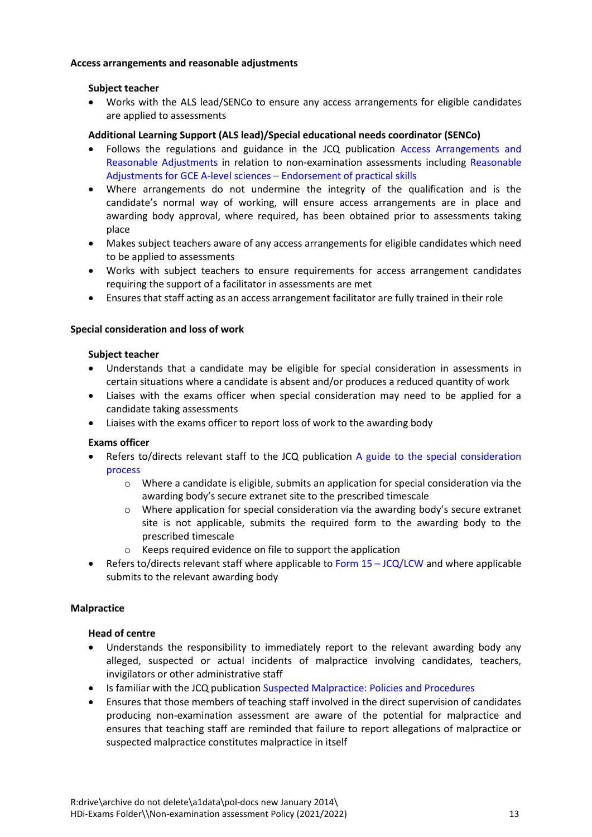# <span id="page-12-0"></span>**Access arrangements and reasonable adjustments**

# **Subject teacher**

 Works with the ALS lead/SENCo to ensure any access arrangements for eligible candidates are applied to assessments

# **Additional Learning Support (ALS lead)/Special educational needs coordinator (SENCo)**

- Follows the regulations and guidance in the JCQ publication [Access Arrangements and](http://www.jcq.org.uk/exams-office/access-arrangements-and-special-consideration)  [Reasonable Adjustments](http://www.jcq.org.uk/exams-office/access-arrangements-and-special-consideration) in relation to non-examination assessments including [Reasonable](https://www.jcq.org.uk/exams-office/access-arrangements-and-special-consideration/regulations-and-guidance)  [Adjustments for GCE A-level sciences](https://www.jcq.org.uk/exams-office/access-arrangements-and-special-consideration/regulations-and-guidance) – Endorsement of practical skills
- Where arrangements do not undermine the integrity of the qualification and is the candidate's normal way of working, will ensure access arrangements are in place and awarding body approval, where required, has been obtained prior to assessments taking place
- Makes subject teachers aware of any access arrangements for eligible candidates which need to be applied to assessments
- Works with subject teachers to ensure requirements for access arrangement candidates requiring the support of a facilitator in assessments are met
- Ensures that staff acting as an access arrangement facilitator are fully trained in their role

# <span id="page-12-1"></span>**Special consideration and loss of work**

# **Subject teacher**

- Understands that a candidate may be eligible for special consideration in assessments in certain situations where a candidate is absent and/or produces a reduced quantity of work
- Liaises with the exams officer when special consideration may need to be applied for a candidate taking assessments
- Liaises with the exams officer to report loss of work to the awarding body

# **Exams officer**

- Refers to/directs relevant staff to the JCQ publication [A guide to the special consideration](http://www.jcq.org.uk/exams-office/access-arrangements-and-special-consideration)  [process](http://www.jcq.org.uk/exams-office/access-arrangements-and-special-consideration) 
	- o Where a candidate is eligible, submits an application for special consideration via the awarding body's secure extranet site to the prescribed timescale
	- o Where application for special consideration via the awarding body's secure extranet site is not applicable, submits the required form to the awarding body to the prescribed timescale
	- o Keeps required evidence on file to support the application
- **•** Refers to/directs relevant staff where applicable to Form  $15 JCQ/LCW$  and where applicable submits to the relevant awarding body

# <span id="page-12-2"></span>**Malpractice**

# **Head of centre**

- Understands the responsibility to immediately report to the relevant awarding body any alleged, suspected or actual incidents of malpractice involving candidates, teachers, invigilators or other administrative staff
- Is familiar with the JCQ publicatio[n Suspected Malpractice: Policies and Procedures](http://www.jcq.org.uk/exams-office/malpractice)
- Ensures that those members of teaching staff involved in the direct supervision of candidates producing non-examination assessment are aware of the potential for malpractice and ensures that teaching staff are reminded that failure to report allegations of malpractice or suspected malpractice constitutes malpractice in itself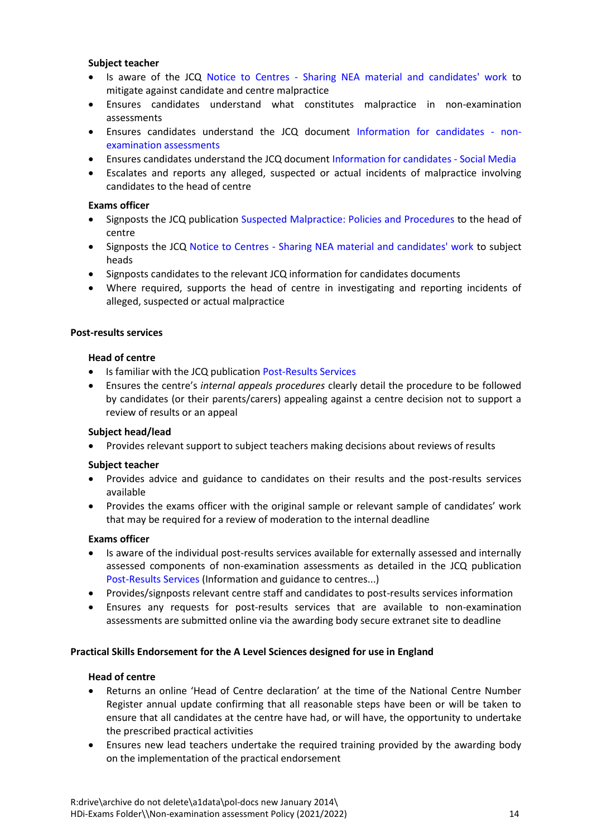# **Subject teacher**

- Is aware of the JCQ Notice to Centres [Sharing NEA material and candidates' work](http://www.jcq.org.uk/exams-office/non-examination-assessments) to mitigate against candidate and centre malpractice
- Ensures candidates understand what constitutes malpractice in non-examination assessments
- Ensures candidates understand the JCQ document [Information for candidates -](http://www.jcq.org.uk/exams-office/information-for-candidates-documents) non[examination assessments](http://www.jcq.org.uk/exams-office/information-for-candidates-documents)
- Ensures candidates understand the JCQ document [Information for candidates -](http://www.jcq.org.uk/exams-office/information-for-candidates-documents) Social Media
- Escalates and reports any alleged, suspected or actual incidents of malpractice involving candidates to the head of centre

# **Exams officer**

- Signposts the JCQ publication [Suspected Malpractice: Policies and Procedures](http://www.jcq.org.uk/exams-office/malpractice) to the head of centre
- Signposts the JCQ Notice to Centres [Sharing NEA material and candidates' work](http://www.jcq.org.uk/exams-office/non-examination-assessments) to subject heads
- Signposts candidates to the relevant JCQ information for candidates documents
- Where required, supports the head of centre in investigating and reporting incidents of alleged, suspected or actual malpractice

# <span id="page-13-0"></span>**Post-results services**

# **Head of centre**

- Is familiar with the JCQ publicatio[n Post-Results Services](https://www.jcq.org.uk/exams-office/post-results-services)
- Ensures the centre's *internal appeals procedures* clearly detail the procedure to be followed by candidates (or their parents/carers) appealing against a centre decision not to support a review of results or an appeal

# **Subject head/lead**

Provides relevant support to subject teachers making decisions about reviews of results

# **Subject teacher**

- Provides advice and guidance to candidates on their results and the post-results services available
- Provides the exams officer with the original sample or relevant sample of candidates' work that may be required for a review of moderation to the internal deadline

# **Exams officer**

- Is aware of the individual post-results services available for externally assessed and internally assessed components of non-examination assessments as detailed in the JCQ publication [Post-Results Services](https://www.jcq.org.uk/exams-office/post-results-services) (Information and guidance to centres...)
- Provides/signposts relevant centre staff and candidates to post-results services information
- Ensures any requests for post-results services that are available to non-examination assessments are submitted online via the awarding body secure extranet site to deadline

# <span id="page-13-1"></span>**Practical Skills Endorsement for the A Level Sciences designed for use in England**

# **Head of centre**

- Returns an online 'Head of Centre declaration' at the time of the National Centre Number Register annual update confirming that all reasonable steps have been or will be taken to ensure that all candidates at the centre have had, or will have, the opportunity to undertake the prescribed practical activities
- Ensures new lead teachers undertake the required training provided by the awarding body on the implementation of the practical endorsement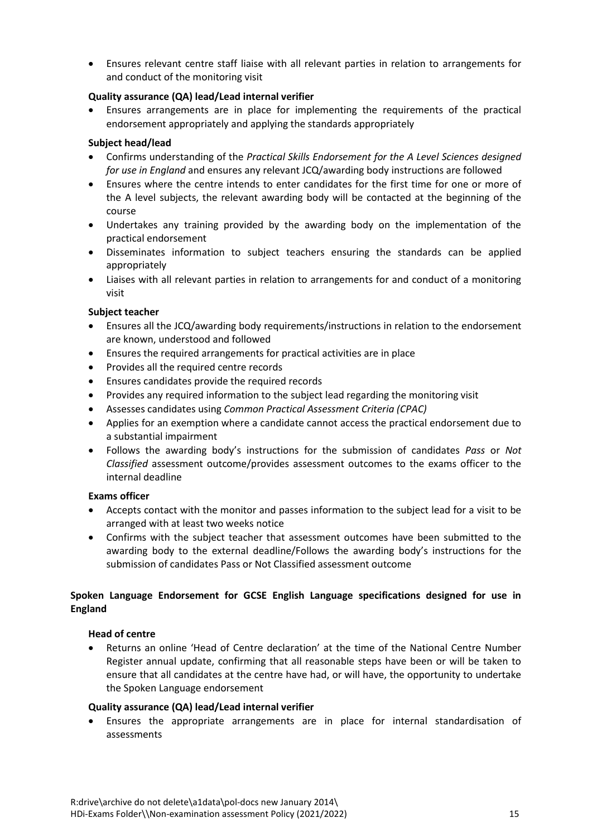Ensures relevant centre staff liaise with all relevant parties in relation to arrangements for and conduct of the monitoring visit

# **Quality assurance (QA) lead/Lead internal verifier**

 Ensures arrangements are in place for implementing the requirements of the practical endorsement appropriately and applying the standards appropriately

# **Subject head/lead**

- Confirms understanding of the *Practical Skills Endorsement for the A Level Sciences designed for use in England* and ensures any relevant JCQ/awarding body instructions are followed
- Ensures where the centre intends to enter candidates for the first time for one or more of the A level subjects, the relevant awarding body will be contacted at the beginning of the course
- Undertakes any training provided by the awarding body on the implementation of the practical endorsement
- Disseminates information to subject teachers ensuring the standards can be applied appropriately
- Liaises with all relevant parties in relation to arrangements for and conduct of a monitoring visit

# **Subject teacher**

- Ensures all the JCQ/awarding body requirements/instructions in relation to the endorsement are known, understood and followed
- Ensures the required arrangements for practical activities are in place
- Provides all the required centre records
- Ensures candidates provide the required records
- Provides any required information to the subject lead regarding the monitoring visit
- Assesses candidates using *Common Practical Assessment Criteria (CPAC)*
- Applies for an exemption where a candidate cannot access the practical endorsement due to a substantial impairment
- Follows the awarding body's instructions for the submission of candidates *Pass* or *Not Classified* assessment outcome/provides assessment outcomes to the exams officer to the internal deadline

# **Exams officer**

- Accepts contact with the monitor and passes information to the subject lead for a visit to be arranged with at least two weeks notice
- Confirms with the subject teacher that assessment outcomes have been submitted to the awarding body to the external deadline/Follows the awarding body's instructions for the submission of candidates Pass or Not Classified assessment outcome

# <span id="page-14-0"></span>**Spoken Language Endorsement for GCSE English Language specifications designed for use in England**

# **Head of centre**

 Returns an online 'Head of Centre declaration' at the time of the National Centre Number Register annual update, confirming that all reasonable steps have been or will be taken to ensure that all candidates at the centre have had, or will have, the opportunity to undertake the Spoken Language endorsement

# **Quality assurance (QA) lead/Lead internal verifier**

 Ensures the appropriate arrangements are in place for internal standardisation of assessments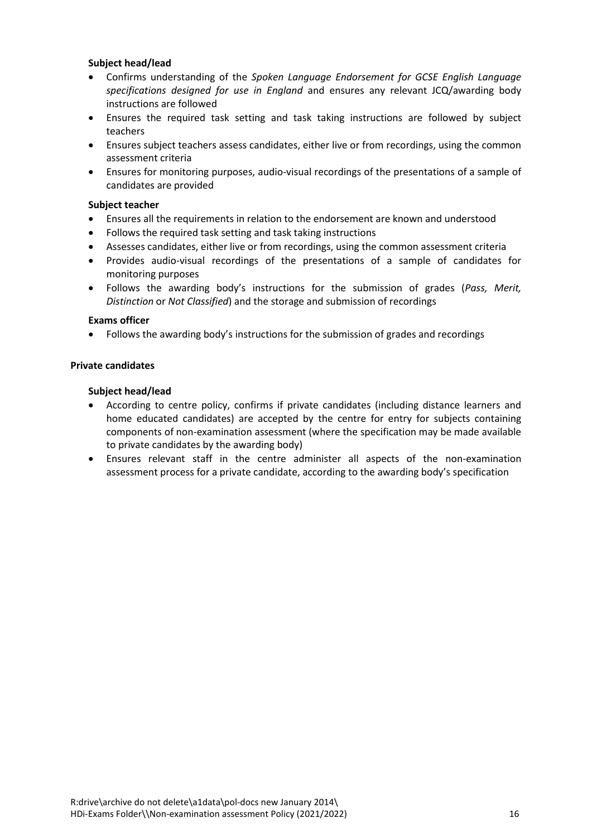# **Subject head/lead**

- Confirms understanding of the *Spoken Language Endorsement for GCSE English Language specifications designed for use in England* and ensures any relevant JCQ/awarding body instructions are followed
- Ensures the required task setting and task taking instructions are followed by subject teachers
- Ensures subject teachers assess candidates, either live or from recordings, using the common assessment criteria
- Ensures for monitoring purposes, audio-visual recordings of the presentations of a sample of candidates are provided

# **Subject teacher**

- Ensures all the requirements in relation to the endorsement are known and understood
- Follows the required task setting and task taking instructions
- Assesses candidates, either live or from recordings, using the common assessment criteria
- Provides audio-visual recordings of the presentations of a sample of candidates for monitoring purposes
- Follows the awarding body's instructions for the submission of grades (*Pass, Merit, Distinction* or *Not Classified*) and the storage and submission of recordings

# **Exams officer**

Follows the awarding body's instructions for the submission of grades and recordings

# <span id="page-15-0"></span>**Private candidates**

#### **Subject head/lead**

- According to centre policy, confirms if private candidates (including distance learners and home educated candidates) are accepted by the centre for entry for subjects containing components of non-examination assessment (where the specification may be made available to private candidates by the awarding body)
- Ensures relevant staff in the centre administer all aspects of the non-examination assessment process for a private candidate, according to the awarding body's specification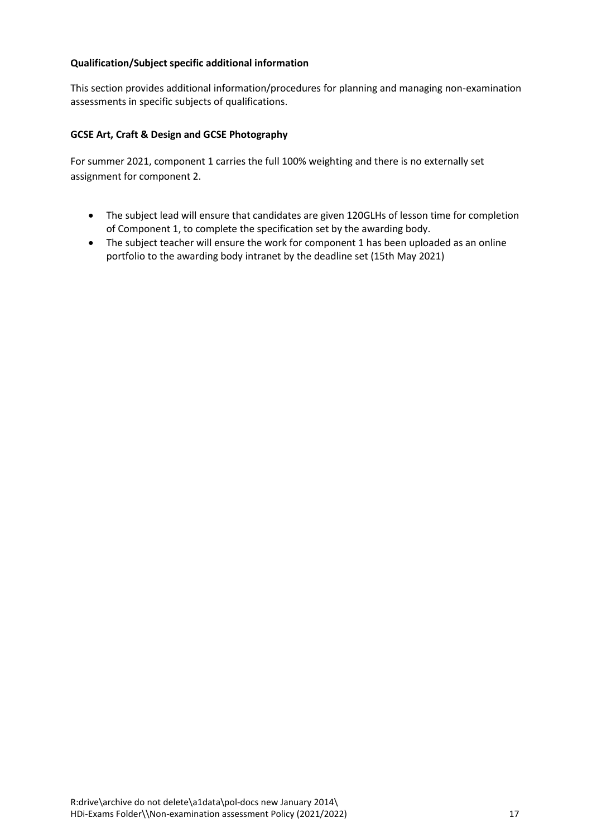# <span id="page-16-0"></span>**Qualification/Subject specific additional information**

This section provides additional information/procedures for planning and managing non-examination assessments in specific subjects of qualifications.

# **GCSE Art, Craft & Design and GCSE Photography**

For summer 2021, component 1 carries the full 100% weighting and there is no externally set assignment for component 2.

- The subject lead will ensure that candidates are given 120GLHs of lesson time for completion of Component 1, to complete the specification set by the awarding body.
- The subject teacher will ensure the work for component 1 has been uploaded as an online portfolio to the awarding body intranet by the deadline set (15th May 2021)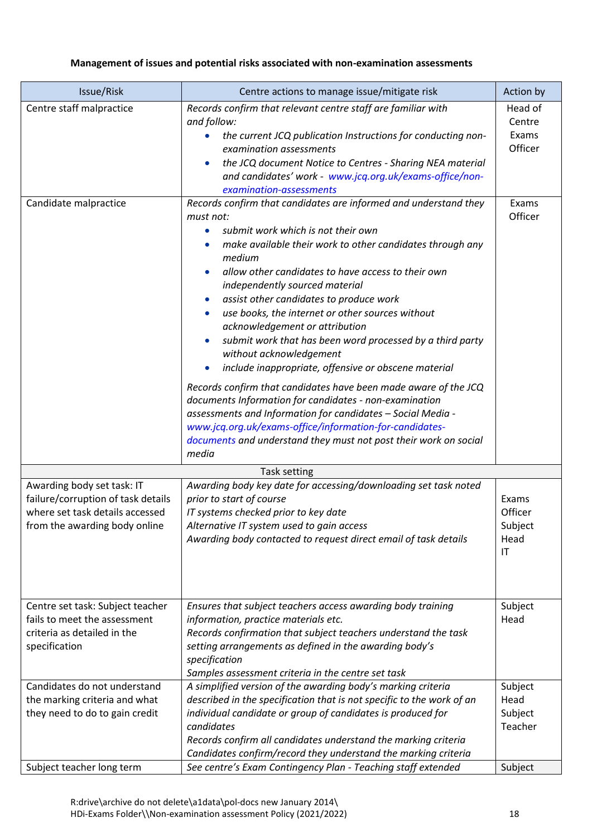# <span id="page-17-0"></span>**Management of issues and potential risks associated with non-examination assessments**

| Issue/Risk                                                                                                                           | Centre actions to manage issue/mitigate risk                                                                                                                                                                                                                                                                                                                                                                                                                                                                                                                                                                                                                                                                                                                                                                                                                                                                         | Action by                                                     |
|--------------------------------------------------------------------------------------------------------------------------------------|----------------------------------------------------------------------------------------------------------------------------------------------------------------------------------------------------------------------------------------------------------------------------------------------------------------------------------------------------------------------------------------------------------------------------------------------------------------------------------------------------------------------------------------------------------------------------------------------------------------------------------------------------------------------------------------------------------------------------------------------------------------------------------------------------------------------------------------------------------------------------------------------------------------------|---------------------------------------------------------------|
| Centre staff malpractice                                                                                                             | Records confirm that relevant centre staff are familiar with<br>and follow:<br>the current JCQ publication Instructions for conducting non-<br>examination assessments<br>the JCQ document Notice to Centres - Sharing NEA material<br>$\bullet$<br>and candidates' work - www.jcq.org.uk/exams-office/non-<br>examination-assessments                                                                                                                                                                                                                                                                                                                                                                                                                                                                                                                                                                               | Head of<br>Centre<br>Exams<br>Officer                         |
| Candidate malpractice                                                                                                                | Records confirm that candidates are informed and understand they<br>must not:<br>submit work which is not their own<br>$\bullet$<br>make available their work to other candidates through any<br>medium<br>allow other candidates to have access to their own<br>independently sourced material<br>assist other candidates to produce work<br>use books, the internet or other sources without<br>acknowledgement or attribution<br>submit work that has been word processed by a third party<br>without acknowledgement<br>include inappropriate, offensive or obscene material<br>Records confirm that candidates have been made aware of the JCQ<br>documents Information for candidates - non-examination<br>assessments and Information for candidates - Social Media -<br>www.jcq.org.uk/exams-office/information-for-candidates-<br>documents and understand they must not post their work on social<br>media | Exams<br>Officer                                              |
|                                                                                                                                      | Task setting                                                                                                                                                                                                                                                                                                                                                                                                                                                                                                                                                                                                                                                                                                                                                                                                                                                                                                         |                                                               |
| Awarding body set task: IT<br>failure/corruption of task details<br>where set task details accessed<br>from the awarding body online | Awarding body key date for accessing/downloading set task noted<br>prior to start of course<br>IT systems checked prior to key date<br>Alternative IT system used to gain access<br>Awarding body contacted to request direct email of task details                                                                                                                                                                                                                                                                                                                                                                                                                                                                                                                                                                                                                                                                  | Exams<br>Officer<br>Subject<br>Head<br>$\mathsf{I}\mathsf{T}$ |
| Centre set task: Subject teacher<br>fails to meet the assessment<br>criteria as detailed in the<br>specification                     | Ensures that subject teachers access awarding body training<br>information, practice materials etc.<br>Records confirmation that subject teachers understand the task<br>setting arrangements as defined in the awarding body's<br>specification<br>Samples assessment criteria in the centre set task                                                                                                                                                                                                                                                                                                                                                                                                                                                                                                                                                                                                               | Subject<br>Head                                               |
| Candidates do not understand<br>the marking criteria and what<br>they need to do to gain credit                                      | A simplified version of the awarding body's marking criteria<br>described in the specification that is not specific to the work of an<br>individual candidate or group of candidates is produced for<br>candidates<br>Records confirm all candidates understand the marking criteria<br>Candidates confirm/record they understand the marking criteria                                                                                                                                                                                                                                                                                                                                                                                                                                                                                                                                                               | Subject<br>Head<br>Subject<br>Teacher                         |
| Subject teacher long term                                                                                                            | See centre's Exam Contingency Plan - Teaching staff extended                                                                                                                                                                                                                                                                                                                                                                                                                                                                                                                                                                                                                                                                                                                                                                                                                                                         | Subject                                                       |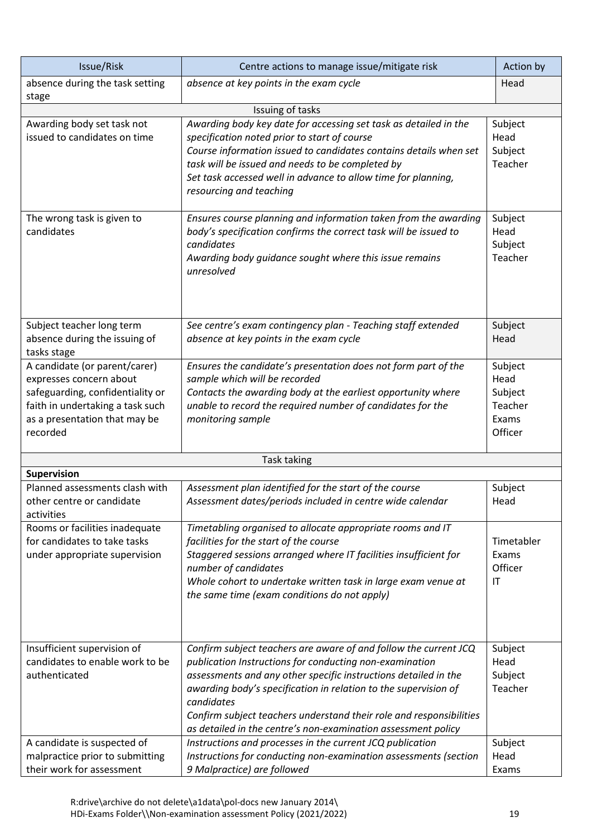| Issue/Risk                                                                                                                                                                    | Centre actions to manage issue/mitigate risk                                                                                                                                                                                                                                                                                                                                                                            | Action by                                                 |
|-------------------------------------------------------------------------------------------------------------------------------------------------------------------------------|-------------------------------------------------------------------------------------------------------------------------------------------------------------------------------------------------------------------------------------------------------------------------------------------------------------------------------------------------------------------------------------------------------------------------|-----------------------------------------------------------|
| absence during the task setting                                                                                                                                               | absence at key points in the exam cycle                                                                                                                                                                                                                                                                                                                                                                                 | Head                                                      |
| stage                                                                                                                                                                         | Issuing of tasks                                                                                                                                                                                                                                                                                                                                                                                                        |                                                           |
| Awarding body set task not<br>issued to candidates on time                                                                                                                    | Awarding body key date for accessing set task as detailed in the<br>specification noted prior to start of course<br>Course information issued to candidates contains details when set<br>task will be issued and needs to be completed by<br>Set task accessed well in advance to allow time for planning,<br>resourcing and teaching                                                                                   | Subject<br>Head<br>Subject<br>Teacher                     |
| The wrong task is given to<br>candidates                                                                                                                                      | Ensures course planning and information taken from the awarding<br>body's specification confirms the correct task will be issued to<br>candidates<br>Awarding body guidance sought where this issue remains<br>unresolved                                                                                                                                                                                               | Subject<br>Head<br>Subject<br>Teacher                     |
| Subject teacher long term<br>absence during the issuing of<br>tasks stage                                                                                                     | See centre's exam contingency plan - Teaching staff extended<br>absence at key points in the exam cycle                                                                                                                                                                                                                                                                                                                 | Subject<br>Head                                           |
| A candidate (or parent/carer)<br>expresses concern about<br>safeguarding, confidentiality or<br>faith in undertaking a task such<br>as a presentation that may be<br>recorded | Ensures the candidate's presentation does not form part of the<br>sample which will be recorded<br>Contacts the awarding body at the earliest opportunity where<br>unable to record the required number of candidates for the<br>monitoring sample                                                                                                                                                                      | Subject<br>Head<br>Subject<br>Teacher<br>Exams<br>Officer |
|                                                                                                                                                                               | Task taking                                                                                                                                                                                                                                                                                                                                                                                                             |                                                           |
| Supervision                                                                                                                                                                   |                                                                                                                                                                                                                                                                                                                                                                                                                         |                                                           |
| Planned assessments clash with<br>other centre or candidate<br>activities                                                                                                     | Assessment plan identified for the start of the course<br>Assessment dates/periods included in centre wide calendar                                                                                                                                                                                                                                                                                                     | Subject<br>Head                                           |
| Rooms or facilities inadequate<br>for candidates to take tasks<br>under appropriate supervision                                                                               | Timetabling organised to allocate appropriate rooms and IT<br>facilities for the start of the course<br>Staggered sessions arranged where IT facilities insufficient for<br>number of candidates<br>Whole cohort to undertake written task in large exam venue at<br>the same time (exam conditions do not apply)                                                                                                       | Timetabler<br>Exams<br>Officer<br>$\mathsf{I}\mathsf{T}$  |
| Insufficient supervision of<br>candidates to enable work to be<br>authenticated                                                                                               | Confirm subject teachers are aware of and follow the current JCQ<br>publication Instructions for conducting non-examination<br>assessments and any other specific instructions detailed in the<br>awarding body's specification in relation to the supervision of<br>candidates<br>Confirm subject teachers understand their role and responsibilities<br>as detailed in the centre's non-examination assessment policy | Subject<br>Head<br>Subject<br>Teacher                     |
| A candidate is suspected of<br>malpractice prior to submitting<br>their work for assessment                                                                                   | Instructions and processes in the current JCQ publication<br>Instructions for conducting non-examination assessments (section<br>9 Malpractice) are followed                                                                                                                                                                                                                                                            | Subject<br>Head<br>Exams                                  |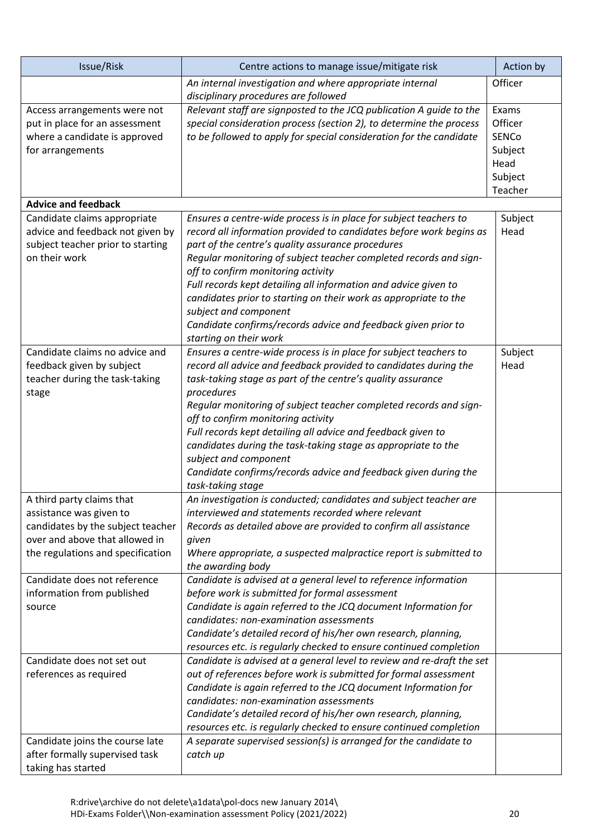| Issue/Risk                                                                                                                                                                                       | Centre actions to manage issue/mitigate risk                                                                                                                                                                                                                                                                                                                                                                                                                                                                                                                                    | Action by                                                                 |
|--------------------------------------------------------------------------------------------------------------------------------------------------------------------------------------------------|---------------------------------------------------------------------------------------------------------------------------------------------------------------------------------------------------------------------------------------------------------------------------------------------------------------------------------------------------------------------------------------------------------------------------------------------------------------------------------------------------------------------------------------------------------------------------------|---------------------------------------------------------------------------|
|                                                                                                                                                                                                  | An internal investigation and where appropriate internal<br>disciplinary procedures are followed                                                                                                                                                                                                                                                                                                                                                                                                                                                                                | Officer                                                                   |
| Access arrangements were not<br>put in place for an assessment<br>where a candidate is approved<br>for arrangements                                                                              | Relevant staff are signposted to the JCQ publication A guide to the<br>special consideration process (section 2), to determine the process<br>to be followed to apply for special consideration for the candidate                                                                                                                                                                                                                                                                                                                                                               | Exams<br>Officer<br><b>SENCo</b><br>Subject<br>Head<br>Subject<br>Teacher |
| <b>Advice and feedback</b>                                                                                                                                                                       |                                                                                                                                                                                                                                                                                                                                                                                                                                                                                                                                                                                 |                                                                           |
| Candidate claims appropriate<br>advice and feedback not given by<br>subject teacher prior to starting<br>on their work                                                                           | Ensures a centre-wide process is in place for subject teachers to<br>record all information provided to candidates before work begins as<br>part of the centre's quality assurance procedures<br>Regular monitoring of subject teacher completed records and sign-<br>off to confirm monitoring activity<br>Full records kept detailing all information and advice given to<br>candidates prior to starting on their work as appropriate to the<br>subject and component<br>Candidate confirms/records advice and feedback given prior to<br>starting on their work             | Subject<br>Head                                                           |
| Candidate claims no advice and<br>feedback given by subject<br>teacher during the task-taking<br>stage                                                                                           | Ensures a centre-wide process is in place for subject teachers to<br>record all advice and feedback provided to candidates during the<br>task-taking stage as part of the centre's quality assurance<br>procedures<br>Regular monitoring of subject teacher completed records and sign-<br>off to confirm monitoring activity<br>Full records kept detailing all advice and feedback given to<br>candidates during the task-taking stage as appropriate to the<br>subject and component<br>Candidate confirms/records advice and feedback given during the<br>task-taking stage | Subject<br>Head                                                           |
| A third party claims that<br>assistance was given to<br>candidates by the subject teacher<br>over and above that allowed in<br>the regulations and specification<br>Candidate does not reference | An investigation is conducted; candidates and subject teacher are<br>interviewed and statements recorded where relevant<br>Records as detailed above are provided to confirm all assistance<br>given<br>Where appropriate, a suspected malpractice report is submitted to<br>the awarding body<br>Candidate is advised at a general level to reference information                                                                                                                                                                                                              |                                                                           |
| information from published<br>source                                                                                                                                                             | before work is submitted for formal assessment<br>Candidate is again referred to the JCQ document Information for<br>candidates: non-examination assessments<br>Candidate's detailed record of his/her own research, planning,<br>resources etc. is regularly checked to ensure continued completion                                                                                                                                                                                                                                                                            |                                                                           |
| Candidate does not set out<br>references as required                                                                                                                                             | Candidate is advised at a general level to review and re-draft the set<br>out of references before work is submitted for formal assessment<br>Candidate is again referred to the JCQ document Information for<br>candidates: non-examination assessments<br>Candidate's detailed record of his/her own research, planning,<br>resources etc. is regularly checked to ensure continued completion                                                                                                                                                                                |                                                                           |
| Candidate joins the course late<br>after formally supervised task<br>taking has started                                                                                                          | A separate supervised session(s) is arranged for the candidate to<br>catch up                                                                                                                                                                                                                                                                                                                                                                                                                                                                                                   |                                                                           |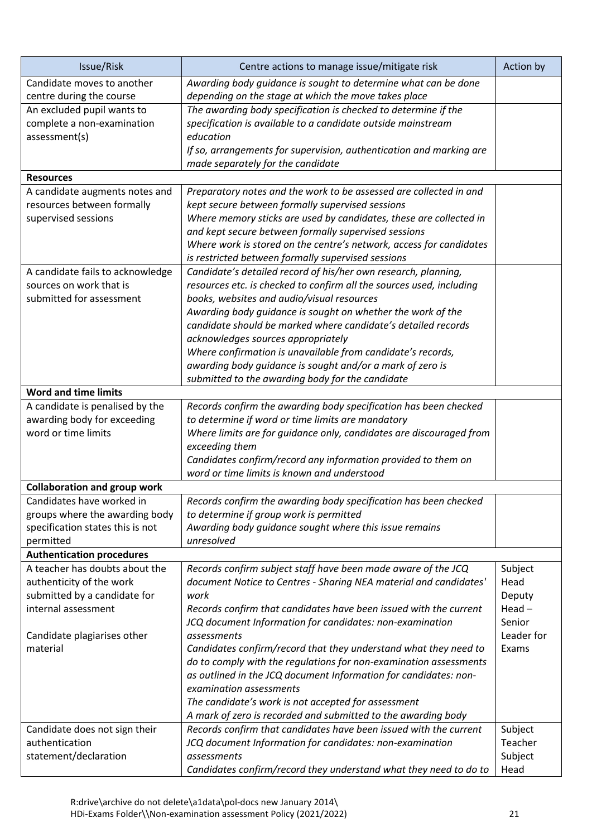| Issue/Risk                                                   | Centre actions to manage issue/mitigate risk                                                      | Action by  |
|--------------------------------------------------------------|---------------------------------------------------------------------------------------------------|------------|
| Candidate moves to another                                   | Awarding body quidance is sought to determine what can be done                                    |            |
| centre during the course                                     | depending on the stage at which the move takes place                                              |            |
| An excluded pupil wants to                                   | The awarding body specification is checked to determine if the                                    |            |
| complete a non-examination                                   | specification is available to a candidate outside mainstream                                      |            |
| assessment(s)                                                | education                                                                                         |            |
|                                                              | If so, arrangements for supervision, authentication and marking are                               |            |
| <b>Resources</b>                                             | made separately for the candidate                                                                 |            |
|                                                              | Preparatory notes and the work to be assessed are collected in and                                |            |
| A candidate augments notes and<br>resources between formally | kept secure between formally supervised sessions                                                  |            |
| supervised sessions                                          | Where memory sticks are used by candidates, these are collected in                                |            |
|                                                              | and kept secure between formally supervised sessions                                              |            |
|                                                              | Where work is stored on the centre's network, access for candidates                               |            |
|                                                              | is restricted between formally supervised sessions                                                |            |
| A candidate fails to acknowledge                             | Candidate's detailed record of his/her own research, planning,                                    |            |
| sources on work that is                                      | resources etc. is checked to confirm all the sources used, including                              |            |
| submitted for assessment                                     | books, websites and audio/visual resources                                                        |            |
|                                                              | Awarding body guidance is sought on whether the work of the                                       |            |
|                                                              | candidate should be marked where candidate's detailed records                                     |            |
|                                                              | acknowledges sources appropriately                                                                |            |
|                                                              | Where confirmation is unavailable from candidate's records,                                       |            |
|                                                              | awarding body guidance is sought and/or a mark of zero is                                         |            |
|                                                              | submitted to the awarding body for the candidate                                                  |            |
| <b>Word and time limits</b>                                  |                                                                                                   |            |
| A candidate is penalised by the                              | Records confirm the awarding body specification has been checked                                  |            |
| awarding body for exceeding                                  | to determine if word or time limits are mandatory                                                 |            |
| word or time limits                                          | Where limits are for guidance only, candidates are discouraged from                               |            |
|                                                              | exceeding them                                                                                    |            |
|                                                              | Candidates confirm/record any information provided to them on                                     |            |
|                                                              | word or time limits is known and understood                                                       |            |
| <b>Collaboration and group work</b>                          |                                                                                                   |            |
| Candidates have worked in                                    | Records confirm the awarding body specification has been checked                                  |            |
| groups where the awarding body                               | to determine if group work is permitted<br>Awarding body guidance sought where this issue remains |            |
| specification states this is not<br>permitted                | unresolved                                                                                        |            |
| <b>Authentication procedures</b>                             |                                                                                                   |            |
| A teacher has doubts about the                               | Records confirm subject staff have been made aware of the JCQ                                     | Subject    |
| authenticity of the work                                     | document Notice to Centres - Sharing NEA material and candidates'                                 | Head       |
| submitted by a candidate for                                 | work                                                                                              | Deputy     |
| internal assessment                                          | Records confirm that candidates have been issued with the current                                 | $Head -$   |
|                                                              | JCQ document Information for candidates: non-examination                                          | Senior     |
| Candidate plagiarises other                                  | assessments                                                                                       | Leader for |
| material                                                     | Candidates confirm/record that they understand what they need to                                  | Exams      |
|                                                              | do to comply with the regulations for non-examination assessments                                 |            |
|                                                              | as outlined in the JCQ document Information for candidates: non-                                  |            |
|                                                              | examination assessments                                                                           |            |
|                                                              | The candidate's work is not accepted for assessment                                               |            |
|                                                              | A mark of zero is recorded and submitted to the awarding body                                     |            |
| Candidate does not sign their                                | Records confirm that candidates have been issued with the current                                 | Subject    |
| authentication                                               | JCQ document Information for candidates: non-examination                                          | Teacher    |
| statement/declaration                                        | assessments                                                                                       | Subject    |
|                                                              | Candidates confirm/record they understand what they need to do to                                 | Head       |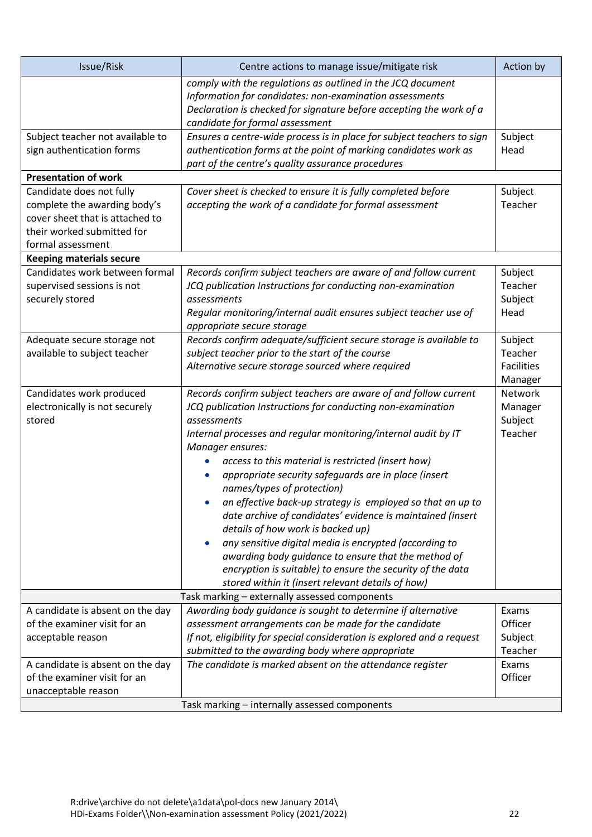| Issue/Risk                                                    | Centre actions to manage issue/mitigate risk                                                                                                                                                                                     | Action by         |
|---------------------------------------------------------------|----------------------------------------------------------------------------------------------------------------------------------------------------------------------------------------------------------------------------------|-------------------|
|                                                               | comply with the regulations as outlined in the JCQ document<br>Information for candidates: non-examination assessments<br>Declaration is checked for signature before accepting the work of a<br>candidate for formal assessment |                   |
| Subject teacher not available to<br>sign authentication forms | Ensures a centre-wide process is in place for subject teachers to sign<br>authentication forms at the point of marking candidates work as                                                                                        | Subject<br>Head   |
|                                                               | part of the centre's quality assurance procedures                                                                                                                                                                                |                   |
| <b>Presentation of work</b>                                   |                                                                                                                                                                                                                                  |                   |
| Candidate does not fully                                      | Cover sheet is checked to ensure it is fully completed before                                                                                                                                                                    | Subject           |
| complete the awarding body's                                  | accepting the work of a candidate for formal assessment                                                                                                                                                                          | Teacher           |
| cover sheet that is attached to                               |                                                                                                                                                                                                                                  |                   |
| their worked submitted for                                    |                                                                                                                                                                                                                                  |                   |
| formal assessment                                             |                                                                                                                                                                                                                                  |                   |
| <b>Keeping materials secure</b>                               |                                                                                                                                                                                                                                  |                   |
| Candidates work between formal                                | Records confirm subject teachers are aware of and follow current                                                                                                                                                                 | Subject           |
| supervised sessions is not                                    | JCQ publication Instructions for conducting non-examination                                                                                                                                                                      | Teacher           |
| securely stored                                               | assessments                                                                                                                                                                                                                      | Subject           |
|                                                               | Regular monitoring/internal audit ensures subject teacher use of                                                                                                                                                                 | Head              |
|                                                               | appropriate secure storage                                                                                                                                                                                                       |                   |
| Adequate secure storage not                                   | Records confirm adequate/sufficient secure storage is available to                                                                                                                                                               | Subject           |
| available to subject teacher                                  | subject teacher prior to the start of the course                                                                                                                                                                                 | Teacher           |
|                                                               | Alternative secure storage sourced where required                                                                                                                                                                                | <b>Facilities</b> |
|                                                               |                                                                                                                                                                                                                                  | Manager           |
| Candidates work produced                                      | Records confirm subject teachers are aware of and follow current                                                                                                                                                                 | Network           |
| electronically is not securely                                | JCQ publication Instructions for conducting non-examination                                                                                                                                                                      | Manager           |
| stored                                                        | assessments                                                                                                                                                                                                                      | Subject           |
|                                                               | Internal processes and regular monitoring/internal audit by IT<br>Manager ensures:                                                                                                                                               | Teacher           |
|                                                               | access to this material is restricted (insert how)                                                                                                                                                                               |                   |
|                                                               | appropriate security safeguards are in place (insert                                                                                                                                                                             |                   |
|                                                               | names/types of protection)                                                                                                                                                                                                       |                   |
|                                                               | an effective back-up strategy is employed so that an up to                                                                                                                                                                       |                   |
|                                                               | date archive of candidates' evidence is maintained (insert                                                                                                                                                                       |                   |
|                                                               | details of how work is backed up)                                                                                                                                                                                                |                   |
|                                                               | any sensitive digital media is encrypted (according to<br>$\bullet$                                                                                                                                                              |                   |
|                                                               | awarding body guidance to ensure that the method of                                                                                                                                                                              |                   |
|                                                               | encryption is suitable) to ensure the security of the data                                                                                                                                                                       |                   |
|                                                               | stored within it (insert relevant details of how)                                                                                                                                                                                |                   |
| Task marking - externally assessed components                 |                                                                                                                                                                                                                                  |                   |
| A candidate is absent on the day                              | Awarding body guidance is sought to determine if alternative                                                                                                                                                                     | Exams             |
| of the examiner visit for an                                  | assessment arrangements can be made for the candidate                                                                                                                                                                            | Officer           |
| acceptable reason                                             | If not, eligibility for special consideration is explored and a request                                                                                                                                                          | Subject           |
|                                                               | submitted to the awarding body where appropriate                                                                                                                                                                                 | Teacher           |
| A candidate is absent on the day                              | The candidate is marked absent on the attendance register                                                                                                                                                                        | Exams             |
| of the examiner visit for an                                  |                                                                                                                                                                                                                                  | Officer           |
| unacceptable reason                                           |                                                                                                                                                                                                                                  |                   |
|                                                               | Task marking - internally assessed components                                                                                                                                                                                    |                   |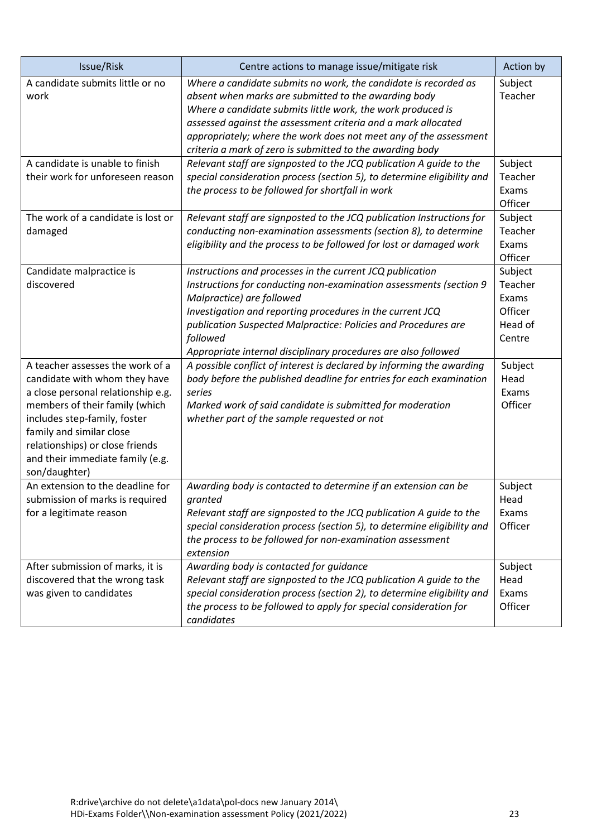| Issue/Risk                                                                                                                                                                                                                                                                                    | Centre actions to manage issue/mitigate risk                                                                                                                                                                                                                                                                                                                                              | Action by                                                   |
|-----------------------------------------------------------------------------------------------------------------------------------------------------------------------------------------------------------------------------------------------------------------------------------------------|-------------------------------------------------------------------------------------------------------------------------------------------------------------------------------------------------------------------------------------------------------------------------------------------------------------------------------------------------------------------------------------------|-------------------------------------------------------------|
| A candidate submits little or no<br>work                                                                                                                                                                                                                                                      | Where a candidate submits no work, the candidate is recorded as<br>absent when marks are submitted to the awarding body<br>Where a candidate submits little work, the work produced is<br>assessed against the assessment criteria and a mark allocated<br>appropriately; where the work does not meet any of the assessment<br>criteria a mark of zero is submitted to the awarding body | Subject<br>Teacher                                          |
| A candidate is unable to finish<br>their work for unforeseen reason                                                                                                                                                                                                                           | Relevant staff are signposted to the JCQ publication A guide to the<br>special consideration process (section 5), to determine eligibility and<br>the process to be followed for shortfall in work                                                                                                                                                                                        | Subject<br>Teacher<br>Exams<br>Officer                      |
| The work of a candidate is lost or<br>damaged                                                                                                                                                                                                                                                 | Relevant staff are signposted to the JCQ publication Instructions for<br>conducting non-examination assessments (section 8), to determine<br>eligibility and the process to be followed for lost or damaged work                                                                                                                                                                          | Subject<br>Teacher<br>Exams<br>Officer                      |
| Candidate malpractice is<br>discovered                                                                                                                                                                                                                                                        | Instructions and processes in the current JCQ publication<br>Instructions for conducting non-examination assessments (section 9<br>Malpractice) are followed<br>Investigation and reporting procedures in the current JCQ<br>publication Suspected Malpractice: Policies and Procedures are<br>followed<br>Appropriate internal disciplinary procedures are also followed                 | Subject<br>Teacher<br>Exams<br>Officer<br>Head of<br>Centre |
| A teacher assesses the work of a<br>candidate with whom they have<br>a close personal relationship e.g.<br>members of their family (which<br>includes step-family, foster<br>family and similar close<br>relationships) or close friends<br>and their immediate family (e.g.<br>son/daughter) | A possible conflict of interest is declared by informing the awarding<br>body before the published deadline for entries for each examination<br>series<br>Marked work of said candidate is submitted for moderation<br>whether part of the sample requested or not                                                                                                                        | Subject<br>Head<br>Exams<br>Officer                         |
| An extension to the deadline for<br>submission of marks is required<br>for a legitimate reason                                                                                                                                                                                                | Awarding body is contacted to determine if an extension can be<br>granted<br>Relevant staff are signposted to the JCQ publication A guide to the<br>special consideration process (section 5), to determine eligibility and<br>the process to be followed for non-examination assessment<br>extension                                                                                     | Subject<br>Head<br>Exams<br>Officer                         |
| After submission of marks, it is<br>discovered that the wrong task<br>was given to candidates                                                                                                                                                                                                 | Awarding body is contacted for guidance<br>Relevant staff are signposted to the JCQ publication A guide to the<br>special consideration process (section 2), to determine eligibility and<br>the process to be followed to apply for special consideration for<br>candidates                                                                                                              | Subject<br>Head<br>Exams<br>Officer                         |